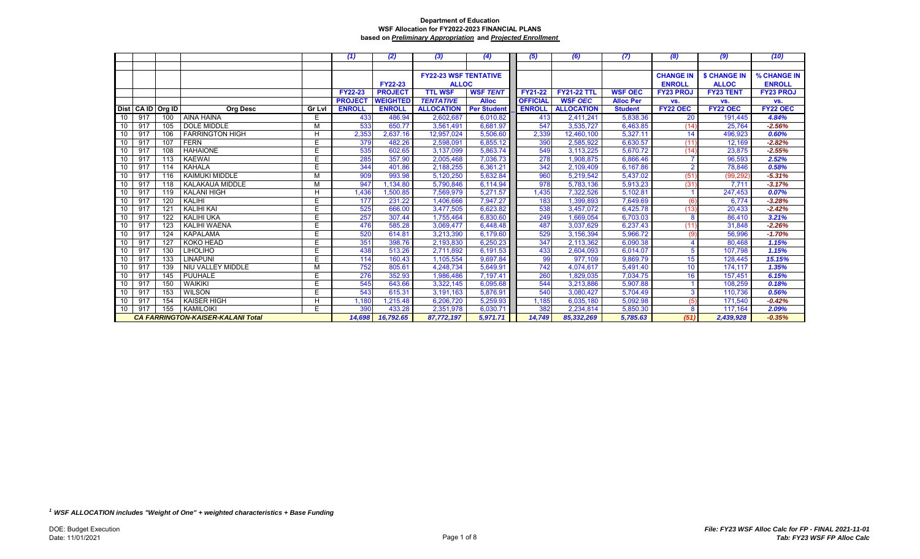|    |     |                   |                                          |        | (1)            | (2)             | (3)                          | (4)                | (5)             | (6)                | (7)              | (8)              | (9)                 | (10)             |
|----|-----|-------------------|------------------------------------------|--------|----------------|-----------------|------------------------------|--------------------|-----------------|--------------------|------------------|------------------|---------------------|------------------|
|    |     |                   |                                          |        |                |                 |                              |                    |                 |                    |                  |                  |                     |                  |
|    |     |                   |                                          |        |                |                 | <b>FY22-23 WSF TENTATIVE</b> |                    |                 |                    |                  | <b>CHANGE IN</b> | <b>\$ CHANGE IN</b> | % CHANGE IN      |
|    |     |                   |                                          |        |                | <b>FY22-23</b>  | <b>ALLOC</b>                 |                    |                 |                    |                  | <b>ENROLL</b>    | <b>ALLOC</b>        | <b>ENROLL</b>    |
|    |     |                   |                                          |        | <b>FY22-23</b> | <b>PROJECT</b>  | <b>TTL WSF</b>               | <b>WSF TENT</b>    | <b>FY21-22</b>  | <b>FY21-22 TTL</b> | <b>WSF OEC</b>   | <b>FY23 PROJ</b> | <b>FY23 TENT</b>    | <b>FY23 PROJ</b> |
|    |     |                   |                                          |        | <b>PROJEC</b>  | <b>WEIGHTED</b> | <b>TENTATIVE</b>             | <b>Alloc</b>       | <b>OFFICIAL</b> | <b>WSF OEC</b>     | <b>Alloc Per</b> | VS.              | VS.                 | VS.              |
|    |     | Dist CA ID Org ID | <b>Org Desc</b>                          | Gr Lvl | <b>ENROLL</b>  | <b>ENROLL</b>   | <b>ALLOCATION</b>            | <b>Per Student</b> | <b>ENROLL</b>   | <b>ALLOCATION</b>  | <b>Student</b>   | FY22 OEC         | FY22 OEC            | <b>FY22 OEC</b>  |
| 10 | 917 | 100               | <b>AINA HAINA</b>                        | E      | 433            | 486.94          | 2,602,687                    | 6,010.82           | 413             | 2,411,241          | 5,838.36         | 20               | 191,445             | 4.84%            |
| 10 | 917 | 105               | <b>DOLE MIDDLE</b>                       | м      | 533            | 650.77          | 3,561,491                    | 6.681.97           | 547             | 3.535.727          | 6,463.85         | (14)             | 25.764              | $-2.56%$         |
| 10 | 917 | 106               | <b>FARRINGTON HIGH</b>                   | H      | 2,353          | 2,637.16        | 12,957,024                   | 5,506.60           | 2,339           | 12,460,100         | 5,327.11         | 14               | 496,923             | 0.60%            |
| 10 | 917 | 107               | <b>FERN</b>                              | E      | 379            | 482.26          | 2,598,091                    | 6,855.12           | 390             | 2,585,922          | 6,630.57         | (11)             | 12,169              | $-2.82%$         |
| 10 | 917 | 108               | <b>HAHAIONE</b>                          | E.     | 535            | 602.65          | 3,137,099                    | 5,863.74           | 549             | 3,113,225          | 5.670.72         | (14)             | 23,875              | $-2.55%$         |
| 10 | 917 | 113               | <b>KAEWAI</b>                            | E.     | 285            | 357.90          | 2,005,468                    | 7,036.73           | 278             | 1,908,875          | 6,866.46         |                  | 96,593              | 2.52%            |
| 10 | 917 | 114               | <b>KAHALA</b>                            | E      | 344            | 401.86          | 2,188,255                    | 6,361.21           | 342             | 2,109,409          | 6,167.86         | $\overline{2}$   | 78,846              | 0.58%            |
| 10 | 917 | 116               | <b>KAIMUKI MIDDLE</b>                    | M      | 909            | 993.98          | 5,120,250                    | 5,632.84           | 960             | 5,219,542          | 5,437.02         | (51)             | (99, 292)           | $-5.31%$         |
| 10 | 917 | 118               | KALAKAUA MIDDLE                          | М      | 947            | 1,134.80        | 5,790,846                    | 6,114.94           | 978             | 5,783,136          | 5,913.23         | (31)             | 7,711               | $-3.17%$         |
| 10 | 917 | 119               | <b>KALANI HIGH</b>                       | H      | 1,436          | 1,500.85        | 7,569,979                    | 5,271.57           | 1,435           | 7,322,526          | 5,102.81         |                  | 247,453             | 0.07%            |
| 10 | 917 | 120               | KALIHI                                   | E.     | 177            | 231.22          | 1,406,666                    | 7,947.27           | 183             | 1,399,893          | 7,649.69         | (6)              | 6.774               | $-3.28%$         |
| 10 | 917 | 121               | <b>KALIHI KAI</b>                        | E.     | 525            | 666.00          | 3,477,505                    | 6,623.82           | 538             | 3,457,072          | 6,425.78         | (13)             | 20,433              | $-2.42%$         |
| 10 | 917 | 122               | <b>KALIHI UKA</b>                        | E.     | 257            | 307.44          | 1,755,464                    | 6,830.60           | 249             | 1,669,054          | 6,703.03         | 8                | 86,410              | 3.21%            |
| 10 | 917 | 123               | <b>KALIHI WAENA</b>                      | Ė      | 476            | 585.28          | 3,069,477                    | 6,448.48           | 487             | 3,037,629          | 6,237.43         | (11)             | 31,848              | $-2.26%$         |
| 10 | 917 | 124               | <b>KAPALAMA</b>                          | E      | 520            | 614.81          | 3,213,390                    | 6,179.60           | 529             | 3,156,394          | 5,966.72         | (9)              | 56,996              | $-1.70%$         |
| 10 | 917 | 127               | <b>KOKO HEAD</b>                         | E      | 351            | 398.76          | 2,193,830                    | 6,250.23           | 347             | 2,113,362          | 6,090.38         |                  | 80,468              | 1.15%            |
| 10 | 917 | 130               | <b>LIHOLIHO</b>                          | Ë      | 438            | 513.26          | 2,711,892                    | 6,191.53           | 433             | 2,604,093          | 6,014.07         | 5                | 107,798             | 1.15%            |
| 10 | 917 | 133               | <b>LINAPUNI</b>                          | E.     | 114            | 160.43          | 1,105,554                    | 9,697.84           | 99              | 977,109            | 9,869.79         | 15               | 128,445             | 15.15%           |
| 10 | 917 | 139               | NIU VALLEY MIDDLE                        | M      | 752            | 805.61          | 4,248,734                    | 5,649.91           | 742             | 4,074,617          | 5,491.40         | 10               | 174,117             | 1.35%            |
| 10 | 917 | 145               | PUUHALE                                  | E.     | 276            | 352.93          | 1,986,486                    | 7,197.41           | 260             | 1,829,035          | 7,034.75         | 16               | 157,451             | 6.15%            |
| 10 | 917 | 150               | <b>WAIKIKI</b>                           | E      | 545            | 643.66          | 3,322,145                    | 6,095.68           | 544             | 3,213,886          | 5,907.88         |                  | 108.259             | 0.18%            |
| 10 | 917 | 153               | <b>WILSON</b>                            | E      | 543            | 615.31          | 3,191,163                    | 5,876.91           | 540             | 3,080,427          | 5,704.49         | 3                | 110.736             | 0.56%            |
| 10 | 917 | 154               | <b>KAISER HIGH</b>                       | H      | 1,180          | 1,215.48        | 6,206,720                    | 5,259.93           | 1,185           | 6,035,180          | 5,092.98         | (5)              | 171,540             | $-0.42%$         |
| 10 | 917 | 155               | KAMILOIKI                                | E      | 390            | 433.28          | 2,351,978                    | 6,030.71           | 382             | 2,234,814          | 5,850.30         | 8                | 117,164             | 2.09%            |
|    |     |                   | <b>CA FARRINGTON-KAISER-KALANI Total</b> |        | 14,698         | 16,792.65       | 87,772,197                   | 5,971.71           | 14,749          | 85,332,269         | 5,785.63         | (51)             | 2,439,928           | $-0.35%$         |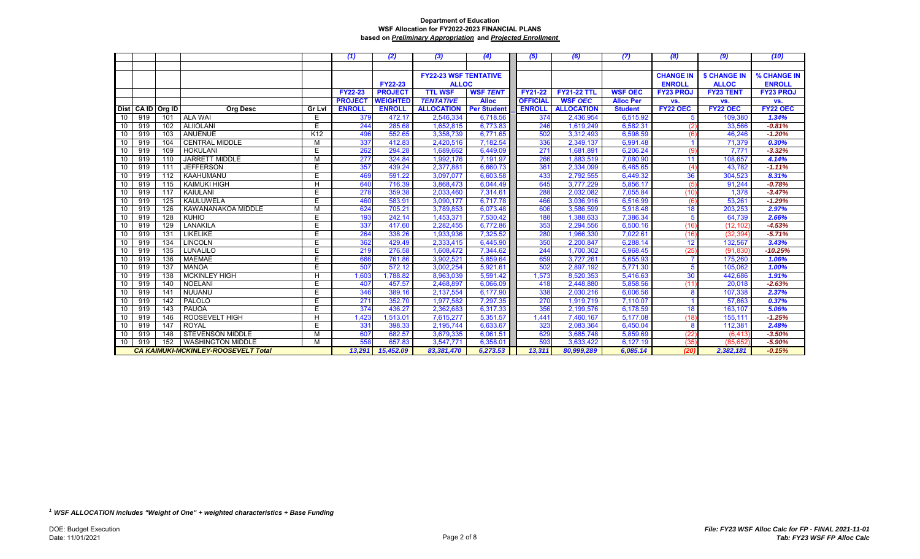|                 |                                            |                  |                                  | (1)            | (2)             | (3)                          | (4)                | (5)             | (6)                | (7)              | (8)              | (9)              | (10)             |
|-----------------|--------------------------------------------|------------------|----------------------------------|----------------|-----------------|------------------------------|--------------------|-----------------|--------------------|------------------|------------------|------------------|------------------|
|                 |                                            |                  |                                  |                |                 |                              |                    |                 |                    |                  |                  |                  |                  |
|                 |                                            |                  |                                  |                |                 | <b>FY22-23 WSF TENTATIVE</b> |                    |                 |                    |                  | <b>CHANGE IN</b> | \$ CHANGE IN     | % CHANGE IN      |
|                 |                                            |                  |                                  |                | <b>FY22-23</b>  | <b>ALLOC</b>                 |                    |                 |                    |                  | <b>ENROLL</b>    | <b>ALLOC</b>     | <b>ENROLL</b>    |
|                 |                                            |                  |                                  | <b>FY22-23</b> | <b>PROJECT</b>  | <b>TTL WSF</b>               | <b>WSF TENT</b>    | <b>FY21-22</b>  | <b>FY21-22 TTL</b> | <b>WSF OEC</b>   | <b>FY23 PROJ</b> | <b>FY23 TENT</b> | <b>FY23 PROJ</b> |
|                 |                                            |                  |                                  | <b>PROJECT</b> | <b>WEIGHTED</b> | <b>TENTATIVE</b>             | <b>Alloc</b>       | <b>OFFICIAL</b> | <b>WSF OEC</b>     | <b>Alloc Per</b> | VS.              | VS.              | VS.              |
|                 | Dist CA ID                                 | Org ID           | <b>Org Desc</b><br><b>Gr Lvl</b> | <b>ENROLL</b>  | <b>ENROLL</b>   | <b>ALLOCATION</b>            | <b>Per Student</b> | <b>ENROLL</b>   | <b>ALLOCATION</b>  | <b>Student</b>   | FY22 OEC         | <b>FY22 OEC</b>  | <b>FY22 OEC</b>  |
| 10              | 919                                        | 101              | <b>ALA WAI</b><br>E.             | 379            | 472.17          | 2,546,334                    | 6,718.56           | 374             | 2,436,954          | 6,515.92         | 5                | 109,380          | 1.34%            |
| 10              | 919                                        | 102              | Ë<br><b>ALIIOLANI</b>            | 244            | 285.68          | 1,652,815                    | 6,773.83           | 246             | 1,619,249          | 6,582.31         | (2)              | 33,566           | $-0.81%$         |
| 10              | 919                                        | 103              | ANUENUE<br>K <sub>12</sub>       | 496            | 552.65          | 3,358,739                    | 6,771.65           | 502             | 3,312,493          | 6,598.59         | (6)              | 46,246           | $-1.20%$         |
| 10              | 919                                        | 104              | <b>CENTRAL MIDDLE</b><br>M       | 337            | 412.83          | 2,420,516                    | 7,182.54           | 336             | 2,349,137          | 6,991.48         |                  | 71,379           | 0.30%            |
| 10              | 919                                        | 109              | E.<br><b>HOKULANI</b>            | 262            | 294.28          | 1,689,662                    | 6,449.09           | 271             | 1,681,891          | 6,206.24         | (9)              | 7,771            | $-3.32%$         |
| 10              | 919                                        | 110              | <b>JARRETT MIDDLE</b><br>M       | 277            | 324.84          | 1,992,176                    | 7,191.97           | 266             | 1,883,519          | 7,080.90         | 11               | 108,657          | 4.14%            |
| 10              | 919                                        | 111              | E<br><b>JEFFERSON</b>            | 357            | 439.24          | 2,377,881                    | 6,660.73           | 361             | 2,334,099          | 6,465.65         | (4)              | 43,782           | $-1.11%$         |
| 10              | 919                                        | 112              | Ë<br>KAAHUMANU                   | 469            | 591.22          | 3,097,077                    | 6,603.58           | 433             | 2,792,555          | 6,449.32         | 36               | 304,523          | 8.31%            |
| 10              | 919                                        | 115              | H<br><b>KAIMUKI HIGH</b>         | 640            | 716.39          | 3,868,473                    | 6,044.49           | 645             | 3,777,229          | 5,856.17         | (5)              | 91,244           | $-0.78%$         |
| 10              | 919                                        | 117              | E<br>KAIULANI                    | 278            | 359.38          | 2,033,460                    | 7,314.61           | 288             | 2,032,082          | 7,055.84         | (10)             | 1,378            | $-3.47%$         |
| 10              | 919                                        | 125              | KAULUWELA<br>E                   | 460            | 583.91          | 3,090,177                    | 6,717.78           | 466             | 3,036,916          | 6,516.99         | (6)              | 53,261           | $-1.29%$         |
| 10              | 919                                        | 126              | M<br>KAWANANAKOA MIDDLE          | 624            | 705.21          | 3,789,853                    | 6,073.48           | 606             | 3,586,599          | 5,918.48         | 18               | 203,253          | 2.97%            |
| 10              | 919                                        | 128              | E<br><b>KUHIO</b>                | 193            | 242.14          | 1,453,371                    | 7,530.42           | 188             | 1,388,633          | 7,386.34         | $\overline{5}$   | 64,739           | 2.66%            |
| 10              | 919                                        | 129              | E<br>LANAKILA                    | 337            | 417.60          | 2,282,455                    | 6,772.86           | 353             | 2,294,556          | 6,500.16         | (16)             | (12, 102)        | $-4.53%$         |
| 10              | 919                                        | 131              | <b>LIKELIKE</b><br>E             | 264            | 338.26          | 1,933,936                    | 7,325.52           | 280             | 1,966,330          | 7,022.61         | (16)             | (32, 394)        | $-5.71%$         |
| 10              | 919                                        | 134              | <b>LINCOLN</b><br>E              | 362            | 429.49          | 2,333,415                    | 6,445.90           | 350             | 2,200,847          | 6,288.14         | 12               | 132,567          | 3.43%            |
| 10              | 919                                        | 135              | Ë<br>LUNALILO                    | 219            | 276.58          | 1,608,472                    | 7,344.62           | 244             | 1,700,302          | 6.968.45         | (25)             | (91, 830)        | $-10.25%$        |
| 10              | 919                                        | 136              | Ë<br><b>MAEMAE</b>               | 666            | 761.86          | 3,902,521                    | 5,859.64           | 659             | 3,727,261          | 5,655.93         |                  | 175,260          | 1.06%            |
| 10 <sup>1</sup> | 919                                        | $\overline{137}$ | Ē<br><b>MANOA</b>                | 507            | 572.12          | 3,002,254                    | 5,921.61           | 502             | 2,897,192          | 5,771.30         | 5                | 105,062          | 1.00%            |
| 10              | 919                                        | 138              | H<br><b>MCKINLEY HIGH</b>        | 1,603          | 1,788.82        | 8,963,039                    | 5,591.42           | 1,573           | 8,520,353          | 5,416.63         | 30               | 442,686          | 1.91%            |
| 10              | 919                                        | 140              | <b>NOELANI</b><br>E              | 407            | 457.57          | 2,468,897                    | 6,066.09           | 418             | 2,448,880          | 5,858.56         | (11)             | 20,018           | $-2.63%$         |
| 10              | 919                                        | 141              | Ë<br>NUUANU                      | 346            | 389.16          | 2,137,554                    | 6,177.90           | 338             | 2,030,216          | 6,006.56         | 8                | 107,338          | 2.37%            |
| 10              | 919                                        | 142              | PALOLO<br>Ë                      | 271            | 352.70          | 1,977,582                    | 7,297.35           | 270             | 1,919,719          | 7,110.07         |                  | 57,863           | 0.37%            |
| 10              | 919                                        | 143              | Ë<br>PAUOA                       | 374            | 436.27          | 2,362,683                    | 6,317.33           | 356             | 2,199,576          | 6,178.59         | 18               | 163,107          | 5.06%            |
| 10              | 919                                        | 146              | ROOSEVELT HIGH<br>H              | 1,423          | 1,513.01        | 7,615,277                    | 5,351.57           | 1,441           | 7,460,167          | 5,177.08         | (18)             | 155,111          | $-1.25%$         |
| 10              | 919                                        | 147              | E<br><b>ROYAL</b>                | 331            | 398.33          | 2,195,744                    | 6,633.67           | 323             | 2,083,364          | 6,450.04         | 8                | 112,381          | 2.48%            |
| 10              | 919                                        | 148              | <b>STEVENSON MIDDLE</b><br>M     | 607            | 682.57          | 3,679,335                    | 6,061.51           | 629             | 3,685,748          | 5,859.69         | (22)             | (6, 413)         | $-3.50%$         |
| 10              | 919                                        | 152              | <b>WASHINGTON MIDDLE</b><br>M    | 558<br>13,291  | 657.83          | 3,547,771                    | 6,358.01           | 593             | 3,633,422          | 6,127.19         | (35)             | (85,652          | $-5.90%$         |
|                 | <b>CA KAIMUKI-MCKINLEY-ROOSEVELT Total</b> |                  |                                  |                | 15,452.09       | 83,381,470                   | 6,273.53           | 13,311          | 80,999,289         | 6,085.14         | (20)             | 2,382,181        | $-0.15%$         |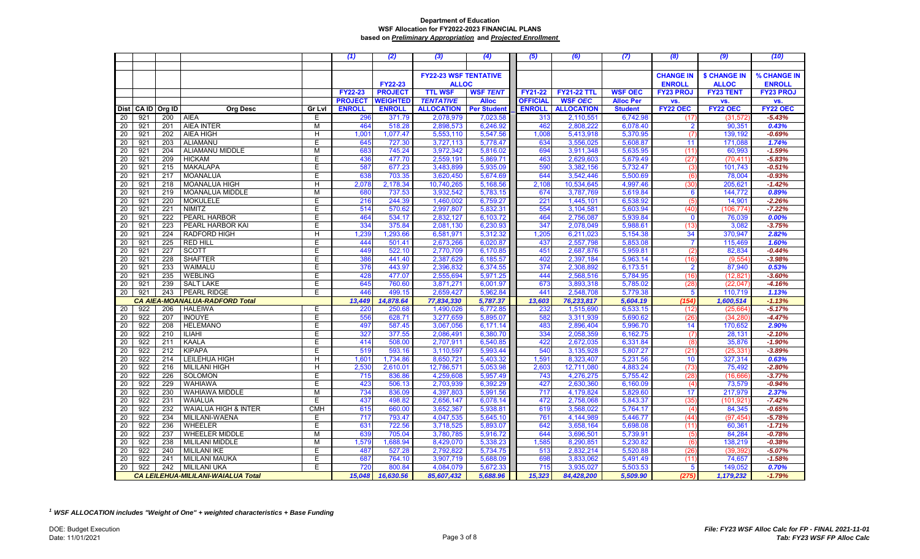|                 |                                    |            |                                                             |               | (1)            | (2)              | (3)                          | (4)                  | (5)             | (6)                    | (7)                  | (8)              | (9)                    | (10)                 |
|-----------------|------------------------------------|------------|-------------------------------------------------------------|---------------|----------------|------------------|------------------------------|----------------------|-----------------|------------------------|----------------------|------------------|------------------------|----------------------|
|                 |                                    |            |                                                             |               |                |                  |                              |                      |                 |                        |                      |                  |                        |                      |
|                 |                                    |            |                                                             |               |                |                  | <b>FY22-23 WSF TENTATIVE</b> |                      |                 |                        |                      | <b>CHANGE IN</b> | <b>\$ CHANGE IN</b>    | % CHANGE IN          |
|                 |                                    |            |                                                             |               |                | <b>FY22-23</b>   | <b>ALLOC</b>                 |                      |                 |                        |                      | <b>ENROLL</b>    | <b>ALLOC</b>           | <b>ENROLL</b>        |
|                 |                                    |            |                                                             |               | <b>FY22-23</b> | <b>PROJECT</b>   | <b>TTL WSF</b>               | <b>WSF TENT</b>      | <b>FY21-22</b>  | <b>FY21-22 TTL</b>     | <b>WSF OEC</b>       | <b>FY23 PROJ</b> | <b>FY23 TENT</b>       | <b>FY23 PROJ</b>     |
|                 |                                    |            |                                                             |               | <b>PROJECT</b> | <b>WEIGHTED</b>  | <b>TENTATIVE</b>             | <b>Alloc</b>         | <b>OFFICIAL</b> | <b>WSF OEC</b>         | <b>Alloc Per</b>     | VS.              | VS.                    | VS.                  |
|                 | Dist CA ID                         | Org ID     | <b>Org Desc</b>                                             | <b>Gr Lvl</b> | <b>ENROLL</b>  | <b>ENROLL</b>    | <b>ALLOCATION</b>            | <b>Per Student</b>   | <b>ENROLL</b>   | <b>ALLOCATION</b>      | <b>Student</b>       | <b>FY22 OEC</b>  | <b>FY22 OEC</b>        | <b>FY22 OEC</b>      |
| 20              | 921                                | 200        | <b>AIEA</b>                                                 | Е             | 296            | 371.79           | 2,078,979                    | 7,023.58             | 313             | 2,110,551              | 6,742.98             | (17)             | (31, 572)              | $-5.43%$             |
| 20              | 921                                | 201        | <b>AIEA INTER</b>                                           | M             | 464            | 518.28           | 2,898,573                    | 6,246.92             | 462             | 2,808,222              | 6,078.40             | $\overline{2}$   | 90,351                 | 0.43%                |
| 20              | 921                                | 202        | AIEA HIGH                                                   | н             | 1,001          | 1,077.47         | 5,553,110                    | 5,547.56             | 1,008           | 5,413,918              | 5,370.95             | (7)              | 139,192                | $-0.69%$             |
| 20              | 921                                | 203        | ALIAMANU                                                    | F             | 645            | 727.30           | 3,727,113                    | 5,778.47             | 634             | 3,556,025              | 5,608.87             | 11               | 171,088                | 1.74%                |
| 20              | 921                                | 204        | ALIAMANU MIDDLE                                             | M             | 683            | 745.24           | 3,972,342                    | 5,816.02             | 694             | 3,911,348              | 5,635.95             | (11)             | 60,993                 | $-1.59%$             |
| 20              | 921                                | 209        | <b>HICKAM</b>                                               | F             | 436            | 477.70           | 2,559,191                    | 5,869.71             | 463             | 2,629,603              | 5,679.49             | (27)             | (70, 411)              | $-5.83%$             |
| 20              | 921                                | 215        | <b>MAKALAPA</b>                                             | E             | 587            | 677.23           | 3,483,899                    | 5,935.09             | 590             | 3,382,156              | 5,732.47             | (3)              | 101,743                | $-0.51%$             |
| $\overline{20}$ | 921                                | 217        | <b>MOANALUA</b>                                             | E             | 638            | 703.35           | 3,620,450                    | 5,674.69             | 644             | 3,542,446              | 5,500.69             | (6)              | 78,004                 | $-0.93%$             |
| 20              | 921                                | 218        | <b>MOANALUA HIGH</b>                                        | H             | 2,078          | 2,178.34         | 10,740,265                   | 5,168.56             | 2,108           | 10,534,645             | 4,997.46             | (30)             | 205,621                | $-1.42%$             |
| 20              | 921                                | 219        | <b>MOANALUA MIDDLE</b>                                      | M             | 680            | 737.53           | 3,932,542                    | 5,783.15             | 674             | 3,787,769              | 5,619.84             | 6                | 144,772                | 0.89%                |
| 20              | 921                                | 220        | <b>MOKULELE</b>                                             | E             | 216            | 244.39           | 1,460,002                    | 6,759.27             | 22 <sup>1</sup> | 1,445,101              | 6,538.92             | (5)              | 14,901                 | $-2.26%$             |
| 20              | 921                                | 221        | <b>NIMITZ</b>                                               | E             | 514            | 570.62           | 2,997,807                    | 5,832.31             | 554             | 3,104,581              | 5,603.94             | (40)             | (106, 774)             | $-7.22%$             |
| 20              | 921                                | 222        | PEARL HARBOR                                                | E             | 464            | 534.17           | 2,832,127                    | 6,103.72             | 464             | 2,756,087              | 5,939.84             | $\mathbf 0$      | 76,039                 | 0.00%                |
| 20              | 921                                | 223        | PEARL HARBOR KAI                                            | E             | 334            | 375.84           | 2,081,130                    | 6,230.93             | 347             | 2,078,049              | 5,988.61             | (13)             | 3,082                  | $-3.75%$             |
| 20              | 921                                | 224        | <b>RADFORD HIGH</b>                                         | H             | 1,239          | 1,293.66         | 6,581,971                    | 5,312.32             | 1,205           | 6,211,023              | 5,154.38             | 34               | 370,947                | 2.82%                |
| 20              | 921                                | 225        | <b>RED HILL</b>                                             | Е             | 444            | 501.41           | 2,673,266                    | 6,020.87             | 437             | 2,557,798              | 5,853.08             | $\overline{7}$   | 115,469                | 1.60%                |
| 20              | 921                                | 227        | <b>SCOTT</b>                                                | E             | 449            | 522.10           | 2,770,709                    | 6,170.85             | 451             | 2,687,876              | 5,959.81             | (2)              | 82,834                 | $-0.44%$             |
| 20              | 921                                | 228        | <b>SHAFTER</b>                                              | Е             | 386            | 441.40           | 2,387,629                    | 6,185.57             | 402             | 2,397,184              | 5,963.14             | (16)             | (9,554)                | $-3.98%$             |
| 20              | 921                                | 233        | WAIMALU                                                     | E             | 376            | 443.97           | 2,396,832                    | 6,374.55             | 374             | 2,308,892              | 6,173.51             | $\overline{2}$   | 87,940                 | 0.53%                |
| 20              | 921                                | 235        | <b>WEBLING</b>                                              | E             | 428            | 477.07           | 2,555,694                    | 5,971.25             | 444             | 2,568,516              | 5,784.95             | (16)             | (12, 821)              | $-3.60%$             |
| 20              | 921                                | 239        | <b>SALT LAKE</b>                                            | Е             | 645            | 760.60           | 3,871,271                    | 6.001.97             | 673             | 3,893,318              | 5,785.02             | (28)             | (22,047)               | $-4.16%$             |
| 20              | 921                                | 243        | <b>PEARL RIDGE</b><br><b>CA AIEA-MOANALUA-RADFORD Total</b> | Е             | 446            | 499.15           | 2,659,427                    | 5,962.84             | 441             | 2,548,708              | 5,779.38             | 5                | 110,719                | 1.13%                |
|                 |                                    |            |                                                             |               | 13,449         | 14,878.64        | 77,834,330                   | 5,787.37             | 13,603          | 76,233,817             | 5,604.19             | (154             | 1,600,514              | $-1.13%$             |
| 20<br>20        | 922<br>922                         | 206<br>207 | <b>HALEIWA</b><br><b>INOUYE</b>                             | E<br>Е        | 220<br>556     | 250.68<br>628.71 | 1,490,026<br>3,277,659       | 6,772.85<br>5,895.07 | 232<br>582      | 1,515,690<br>3,311,939 | 6,533.15<br>5,690.62 | (12)             | (25, 664)<br>(34, 280) | $-5.17%$<br>$-4.47%$ |
| 20              | 922                                | 208        | <b>HELEMANO</b>                                             | E             | 497            | 587.45           | 3,067,056                    | 6,171.14             | 483             | 2,896,404              | 5,996.70             | (26)<br>14       | 170,652                | 2.90%                |
| $\overline{20}$ | 922                                | 210        | <b>ILIAHI</b>                                               | Е             | 327            | 377.55           | 2,086,491                    | 6,380.70             | 334             | 2,058,359              | 6,162.75             | (7)              | 28,131                 | $-2.10%$             |
| 20              | 922                                | 211        | <b>KAALA</b>                                                | E             | 414            | 508.00           | 2,707,911                    | 6,540.85             | 422             | 2,672,035              | 6,331.84             | (8)              | 35,876                 | $-1.90%$             |
| $\overline{20}$ | 922                                | 212        | <b>KIPAPA</b>                                               | E             | 519            | 593.16           | 3,110,597                    | 5,993.44             | 540             | 3,135,928              | 5,807.27             | (21)             | (25, 331)              | $-3.89%$             |
| 20              | 922                                | 214        | LEILEHUA HIGH                                               | H             | 1,601          | 1,734.86         | 8,650,721                    | 5,403.32             | 1,591           | 8,323,407              | 5,231.56             | 10               | 327,314                | 0.63%                |
| 20              | 922                                | 216        | <b>MILILANI HIGH</b>                                        | H             | 2,530          | 2,610.01         | 12,786,571                   | 5,053.98             | 2,603           | 12,711,080             | 4,883.24             | (73)             | 75,492                 | $-2.80%$             |
| 20              | 922                                | 226        | SOLOMON                                                     | E             | 715            | 836.86           | 4,259,608                    | 5,957.49             | 743             | 4,276,275              | 5,755.42             | (28)             | (16, 666)              | $-3.77%$             |
| $\overline{20}$ | 922                                | 229        | <b>WAHIAWA</b>                                              | Е             | 423            | 506.13           | 2,703,939                    | 6,392.29             | 427             | 2,630,360              | 6,160.09             | (4)              | 73,579                 | $-0.94%$             |
| 20              | 922                                | 230        | WAHIAWA MIDDLE                                              | М             | 734            | 836.09           | 4,397,803                    | 5,991.56             | 717             | 4,179,824              | 5,829.60             | 17               | 217,979                | 2.37%                |
| 20              | 922                                | 231        | <b>WAIALUA</b>                                              | F             | 437            | 498.82           | 2,656,147                    | 6,078.14             | 472             | 2,758,068              | 5,843.37             | (35)             | (101, 921)             | $-7.42%$             |
| 20              | 922                                | 232        | WAIALUA HIGH & INTER                                        | <b>CMH</b>    | 615            | 660.00           | 3,652,367                    | 5,938.81             | 619             | 3,568,022              | 5,764.17             | (4)              | 84,345                 | $-0.65%$             |
| 20              | 922                                | 234        | MILILANI-WAENA                                              | E             | 717            | 793.47           | 4,047,535                    | 5,645.10             | 761             | 4,144,989              | 5,446.77             | (44)             | (97, 454)              | $-5.78%$             |
| 20              | 922                                | 236        | WHEELER                                                     | E             | 631            | 722.56           | 3,718,525                    | 5,893.07             | 642             | 3,658,164              | 5,698.08             | (11)             | 60,361                 | $-1.71%$             |
| 20              | 922                                | 237        | <b>WHEELER MIDDLE</b>                                       | M             | 639            | 705.04           | 3,780,785                    | 5,916.72             | 644             | 3,696,501              | 5,739.91             | (5)              | 84,284                 | $-0.78%$             |
| $\overline{20}$ | 922                                | 238        | MILILANI MIDDLE                                             | M             | 1,579          | 1,688.94         | 8,429,070                    | 5,338.23             | 1,585           | 8,290,851              | 5,230.82             | (6)              | 138,219                | $-0.38%$             |
| 20              | 922                                | 240        | <b>MILILANI IKE</b>                                         | Е             | 487            | 527.28           | 2,792,822                    | 5,734.75             | 513             | 2,832,214              | 5,520.88             | (26)             | (39, 392)              | $-5.07%$             |
| 20              | 922                                | 241        | <b>MILILANI MAUKA</b>                                       | E             | 687            | 764.10           | 3,907,719                    | 5,688.09             | 698             | 3,833,062              | 5,491.49             | (11)             | 74,657                 | $-1.58%$             |
| 20              | 922                                | 242        | <b>MILILANI UKA</b>                                         | Е             | 720            | 800.84           | 4,084,079                    | 5.672.33             | 715             | 3.935.027              | 5.503.53             | 5                | 149.052                | 0.70%                |
|                 | CA LEILEHUA-MILILANI-WAIALUA Total |            |                                                             |               | 15,048         | 16,630.56        | 85,607,432                   | 5,688.96             | 15,323          | 84,428,200             | 5,509.90             | (275)            | 1,179,232              | $-1.79%$             |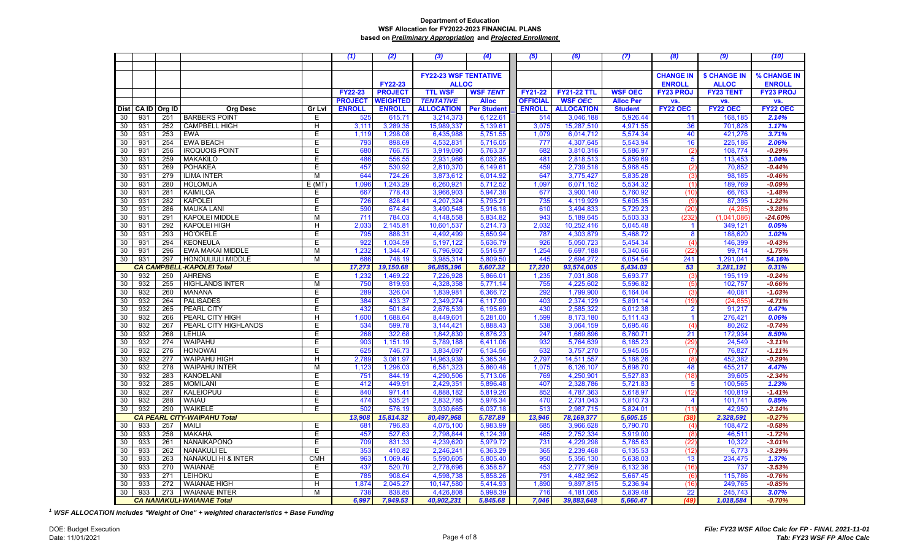|    |            |        |                                    |            | (1)             | (2)             | (3)                          | (4)                | (5)             | (6)                | (7)              | (8)                     | (9)                 | (10)             |
|----|------------|--------|------------------------------------|------------|-----------------|-----------------|------------------------------|--------------------|-----------------|--------------------|------------------|-------------------------|---------------------|------------------|
|    |            |        |                                    |            |                 |                 |                              |                    |                 |                    |                  |                         |                     |                  |
|    |            |        |                                    |            |                 |                 | <b>FY22-23 WSF TENTATIVE</b> |                    |                 |                    |                  | <b>CHANGE IN</b>        | <b>\$ CHANGE IN</b> | % CHANGE IN      |
|    |            |        |                                    |            |                 | <b>FY22-23</b>  | <b>ALLOC</b>                 |                    |                 |                    |                  | <b>ENROLL</b>           | <b>ALLOC</b>        | <b>ENROLL</b>    |
|    |            |        |                                    |            | <b>FY22-23</b>  | <b>PROJECT</b>  | <b>TTL WSF</b>               | <b>WSF TENT</b>    | <b>FY21-22</b>  | <b>FY21-22 TTL</b> | <b>WSF OEC</b>   | <b>FY23 PROJ</b>        | <b>FY23 TENT</b>    | <b>FY23 PROJ</b> |
|    |            |        |                                    |            | <b>PROJECT</b>  | <b>WEIGHTED</b> | <b>TENTATIVE</b>             | <b>Alloc</b>       | <b>OFFICIAL</b> | <b>WSF OEC</b>     | <b>Alloc Per</b> | VS.                     | VS.                 | VS.              |
|    | Dist CA ID | Org ID | <b>Org Desc</b>                    | Gr Lvl     | <b>ENROLL</b>   | <b>ENROLL</b>   | <b>ALLOCATION</b>            | <b>Per Student</b> | <b>ENROLL</b>   | <b>ALLOCATION</b>  | <b>Student</b>   | FY22 OEC                | <b>FY22 OEC</b>     | <b>FY22 OEC</b>  |
| 30 | 931        | 251    | <b>BARBERS POINT</b>               | E          | 525             | 615.71          | 3,214,373                    | 6,122.61           | 514             | 3,046,188          | 5,926.44         | 11                      | 168,185             | 2.14%            |
| 30 | 931        | 252    | <b>CAMPBELL HIGH</b>               | H          | 3,111           | 3,289.35        | 15,989,337                   | 5,139.61           | 3,075           | 15,287,510         | 4,971.55         | 36                      | 701,828             | 1.17%            |
| 30 | 931        | 253    | <b>EWA</b>                         | E          | 1,119           | 1,298.08        | 6,435,988                    | 5,751.55           | 1,079           | 6,014,712          | 5,574.34         | 40                      | 421,276             | 3.71%            |
| 30 | 931        | 254    | <b>EWA BEACH</b>                   | E          | 793             | 898.69          | 4,532,831                    | 5,716.05           | 777             | 4,307,645          | 5,543.94         | 16                      | 225,186             | 2.06%            |
| 30 | 931        | 256    | <b>IROQUOIS POINT</b>              | E          | 680             | 766.75          | 3,919,090                    | 5,763.37           | 682             | 3,810,316          | 5,586.97         | (2)                     | 108,774             | $-0.29%$         |
| 30 | 931        | 259    | <b>MAKAKILO</b>                    | E          | 486             | 556.55          | 2,931,966                    | 6,032.85           | 481             | 2,818,513          | 5,859.69         | 5                       | 113,453             | 1.04%            |
| 30 | 931        | 269    | <b>POHAKEA</b>                     | Е          | 457             | 530.92          | 2,810,370                    | 6,149.61           | 459             | 2,739,518          | 5,968.45         |                         | 70,852              | $-0.44%$         |
| 30 | 931        | 279    | <b>ILIMA INTER</b>                 | M          | 644             | 724.26          | 3,873,612                    | 6,014.92           | 647             | 3,775,427          | 5,835.28         | (2)                     | 98,185              | $-0.46%$         |
|    | 931        | 280    | <b>HOLOMUA</b>                     |            |                 |                 |                              |                    |                 |                    | 5,534.32         | (3)<br>(1)              |                     | $-0.09%$         |
| 30 | 931        |        |                                    | E(MT)      | 1,096           | 1,243.29        | 6,260,921                    | 5,712.52           | 1,097           | 6,071,152          |                  |                         | 189,769             | $-1.48%$         |
| 30 |            | 281    | KAIMILOA                           | Е          | 667             | 778.43          | 3,966,903                    | 5,947.38           | 677             | 3,900,140          | 5,760.92         | (10)                    | 66,763              |                  |
| 30 | 931        | 282    | <b>KAPOLEI</b>                     | E          | 726             | 828.41          | 4,207,324                    | 5,795.21           | 735             | 4,119,929          | 5,605.35         | (9)                     | 87,395              | $-1.22%$         |
| 30 | 931        | 286    | <b>MAUKA LANI</b>                  | E          | 590             | 674.84          | 3,490,548                    | 5,916.18           | 610             | 3,494,833          | 5,729.23         | (20)                    | (4,285)             | $-3.28%$         |
| 30 | 931        | 291    | KAPOLEI MIDDLE                     | М          | 711             | 784.03          | 4,148,558                    | 5,834.82           | 943             | 5,189,645          | 5,503.33         | (232)                   | (1,041,086)         | $-24.60%$        |
| 30 | 931        | 292    | <b>KAPOLEI HIGH</b>                | H          | 2,033           | 2,145.81        | 10,601,537                   | 5,214.73           | 2,032           | 10,252,416         | 5,045.48         | $\overline{\mathbf{1}}$ | 349,121             | 0.05%            |
| 30 | 931        | 293    | <b>HO'OKELE</b>                    | Е          | 795             | 888.31          | 4,492,499                    | 5,650.94           | 787             | 4,303,879          | 5,468.72         | 8                       | 188,620             | 1.02%            |
| 30 | 931        | 294    | <b>KEONEULA</b>                    | E          | 922             | 1,034.59        | 5,197,122                    | 5,636.79           | 926             | 5,050,723          | 5,454.34         | (4)                     | 146,399             | $-0.43%$         |
| 30 | 931        | 296    | <b>EWA MAKAI MIDDLE</b>            | M          | 1,232           | 1,344.47        | 6,796,902                    | 5,516.97           | 1,254           | 6,697,188          | 5,340.66         | (22)                    | 99.714              | $-1.75%$         |
| 30 | 931        | 297    | HONOULIULI MIDDLE                  | M          | 686             | 748.19          | 3,985,314                    | 5,809.50           | 445             | 2,694,272          | 6,054.54         | 241                     | 1,291,041           | 54.16%           |
|    |            |        | <b>CA CAMPBELL-KAPOLEI Total</b>   |            | 17,273          | 19,150.68       | 96,855,196                   | 5,607.32           | 17,220          | 93,574,005         | 5,434.03         | 53                      | 3,281,191           | 0.31%            |
| 30 | 932        | 250    | <b>AHRENS</b>                      | Е          | 1,232           | 1,469.22        | 7,226,928                    | 5,866.01           | 1,235           | 7,031,808          | 5,693.77         | (3)                     | 195,119             | $-0.24%$         |
| 30 | 932        | 255    | <b>HIGHLANDS INTER</b>             | M          | 750             | 819.93          | 4,328,358                    | 5,771.14           | 755             | 4,225,602          | 5,596.82         | (5)                     | 102,757             | $-0.66%$         |
| 30 | 932        | 260    | <b>MANANA</b>                      | Е          | <b>289</b>      | 326.04          | 1,839,981                    | 6,366.72           | 292             | 1,799,900          | 6,164.04         | (3)                     | 40,081              | $-1.03%$         |
| 30 | 932        | 264    | <b>PALISADES</b>                   | Е          | 384             | 433.37          | 2,349,274                    | 6,117.90           | 403             | 2,374,129          | 5,891.14         | (19)                    | (24, 855)           | $-4.71%$         |
| 30 | 932        | 265    | PEARL CITY                         | E          | 432             | 501.84          | 2,676,539                    | 6,195.69           | 430             | 2,585,322          | 6,012.38         | $\overline{2}$          | 91,217              | 0.47%            |
| 30 | 932        | 266    | PEARL CITY HIGH                    | H          | 1,600           | 1,688.64        | 8,449,601                    | 5,281.00           | 1,599           | 8,173,180          | 5,111.43         | $\blacktriangleleft$    | 276,421             | 0.06%            |
| 30 | 932        | 267    | PEARL CITY HIGHLANDS               | E          | 534             | 599.78          | 3,144,421                    | 5,888.43           | 538             | 3,064,159          | 5,695.46         | (4)                     | 80,262              | $-0.74%$         |
| 30 | 932        | 268    | <b>LEHUA</b>                       | E          | 268             | 322.68          | 1,842,830                    | 6,876.23           | 247             | 1,669,896          | 6,760.71         | 21                      | 172,934             | 8.50%            |
| 30 | 932        | 274    | <b>WAIPAHU</b>                     | F          | 903             | 1,151.19        | 5,789,188                    | 6,411.06           | 932             | 5,764,639          | 6,185.23         | (29)                    | 24,549              | $-3.11%$         |
| 30 | 932        | 276    | <b>HONOWAI</b>                     | E          | 625             | 746.73          | 3,834,097                    | 6,134.56           | 632             | 3,757,270          | 5,945.05         | (7)                     | 76,827              | $-1.11%$         |
| 30 | 932        | 277    | <b>WAIPAHU HIGH</b>                | H          | 2,789           | 3.081.97        | 14,963,939                   | 5,365.34           | 2.797           | 14,511,557         | 5,188.26         | (8)                     | 452,382             | $-0.29%$         |
| 30 | 932        | 278    | <b>WAIPAHU INTER</b>               | M          | 1,123           | 1,296.03        | 6,581,323                    | 5,860.48           | 1,075           | 6,126,107          | 5,698.70         | 48                      | 455,217             | 4.47%            |
| 30 | 932        | 283    | <b>KANOELANI</b>                   | E          | 751             | 844.19          | 4,290,506                    | 5,713.06           | 769             | 4,250,901          | 5,527.83         | (18)                    | 39,605              | $-2.34%$         |
| 30 | 932        | 285    | <b>MOMILANI</b>                    | E          | 412             | 449.91          | 2,429,351                    | 5,896.48           | 407             | 2,328,786          | 5,721.83         | 5                       | 100,565             | 1.23%            |
| 30 | 932        | 287    | KALEIOPUU                          | E          | 840             | 971.41          | 4,888,182                    | 5,819.26           | 852             | 4,787,363          | 5,618.97         | (12)                    | 100,819             | $-1.41%$         |
| 30 | 932        | 288    | <b>WAIAU</b>                       | Ē          | 474             | 535.21          | 2,832,785                    | 5,976.34           | 470             | 2,731,043          | 5,810.73         | $\overline{4}$          | 101,741             | 0.85%            |
| 30 | 932        | 290    | WAIKELE                            | F          | 502             | 576.19          | 3,030,665                    | 6,037.18           | 513             | 2,987,715          | 5,824.01         | (11)                    | 42,950              | $-2.14%$         |
|    |            |        | <b>CA PEARL CITY-WAIPAHU Total</b> |            | 13,908          | 15,814.32       | 80,497,968                   | 5,787.89           | 13,946          | 78,169,377         | 5,605.15         | (38)                    | 2,328,591           | $-0.27%$         |
| 30 | 933        | 257    | <b>MAILI</b>                       | E          | 68 <sup>2</sup> | 796.83          | 4,075,100                    | 5,983.99           | 685             | 3,966,628          | 5,790.70         | (4)                     | 108,472             | $-0.58%$         |
| 30 | 933        | 258    | <b>MAKAHA</b>                      | E          | 457             | 527.63          | 2,798,844                    | 6,124.39           | 465             | 2,752,334          | 5,919.00         | (8)                     | 46,511              | $-1.72%$         |
| 30 | 933        | 261    | NANAIKAPONO                        | E          | 709             | 831.33          | 4,239,620                    | 5,979.72           | 731             | 4,229,298          | 5,785.63         | (22)                    | 10.322              | $-3.01%$         |
| 30 | 933        | 262    | <b>NANAKULI EL</b>                 | E          | 353             | 410.82          | 2,246,241                    | 6,363.29           | 365             | 2,239,468          | 6,135.53         | (12)                    | 6,773               | $-3.29%$         |
| 30 | 933        | 263    | NANAKULI HI & INTER                | <b>CMH</b> | 963             | 1,069.46        | 5,590,605                    | 5,805.40           | 950             | 5,356,130          | 5,638.03         | 13                      | 234,475             | 1.37%            |
| 30 | 933        | 270    | WAIANAE                            | E          | 437             | 520.70          | 2,778,696                    | 6,358.57           | 453             | 2,777,959          | 6,132.36         | (16)                    | 737                 | $-3.53%$         |
| 30 | 933        | 271    | <b>LEIHOKU</b>                     | E          | 785             | 908.64          | 4,598,738                    | 5,858.26           | 791             | 4,482,952          | 5,667.45         | (6)                     | 115.786             | $-0.76%$         |
| 30 | 933        | 272    | <b>WAIANAE HIGH</b>                | H          | 1,874           | 2,045.27        | 10,147,580                   | 5,414.93           | 1,890           | 9,897,815          | 5,236.94         | (16)                    | 249,765             | $-0.85%$         |
| 30 | 933        | 273    | <b>WAIANAE INTER</b>               | М          | 738             | 838.85          | 4,426,808                    | 5.998.39           | 716             | 4,181,065          | 5,839.48         | 22                      | 245.743             | 3.07%            |
|    |            |        | <b>CA NANAKULI-WAIANAE Total</b>   |            | 6,997           | 7,949.53        | 40,902,231                   | 5,845.68           | 7,046           | 39,883,648         | 5,660.47         | (49)                    | 1,018,584           | $-0.70%$         |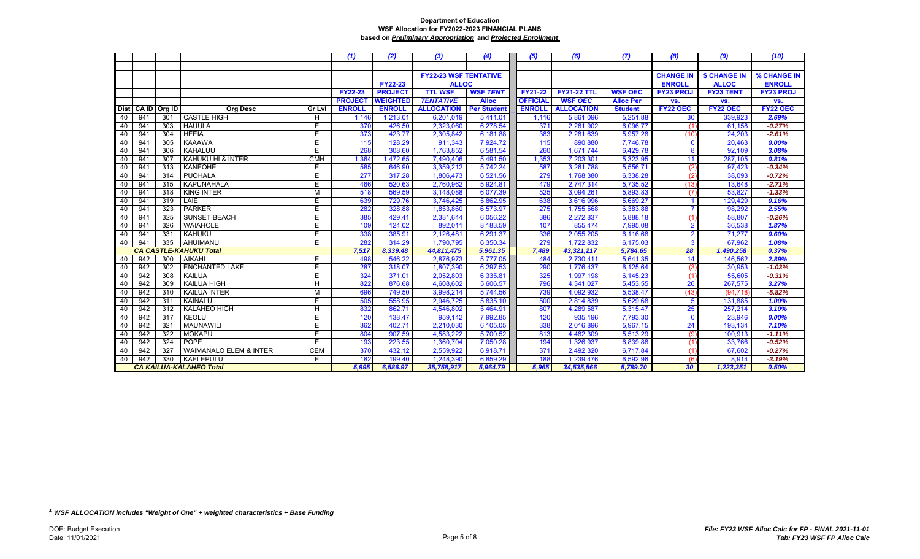|    |                                |        |                                   |               | (1)            | (2)             | (3)                           | (4)             | (5)             | (6)                | (7)              | (8)              | (9)                 | (10)             |
|----|--------------------------------|--------|-----------------------------------|---------------|----------------|-----------------|-------------------------------|-----------------|-----------------|--------------------|------------------|------------------|---------------------|------------------|
|    |                                |        |                                   |               |                |                 |                               |                 |                 |                    |                  |                  |                     |                  |
|    |                                |        |                                   |               |                |                 | <b>FY22-23 WSF TENTATIVE</b>  |                 |                 |                    |                  | <b>CHANGE IN</b> | <b>\$ CHANGE IN</b> | % CHANGE IN      |
|    |                                |        |                                   |               |                | <b>FY22-23</b>  | <b>ALLOC</b>                  |                 |                 |                    |                  | <b>ENROLL</b>    | <b>ALLOC</b>        | <b>ENROLL</b>    |
|    |                                |        |                                   |               | <b>FY22-23</b> | <b>PROJECT</b>  | <b>TTL WSF</b>                | <b>WSF TENT</b> | <b>FY21-22</b>  | <b>FY21-22 TTL</b> | <b>WSF OEC</b>   | <b>FY23 PROJ</b> | <b>FY23 TENT</b>    | <b>FY23 PROJ</b> |
|    |                                |        |                                   |               | <b>PROJECT</b> | <b>WEIGHTED</b> | <b>TENTATIVE</b>              | <b>Alloc</b>    | <b>OFFICIAL</b> | <b>WSF OEC</b>     | <b>Alloc Per</b> | VS.              | VS.                 | VS.              |
|    | Dist CA ID                     | Org ID | <b>Org Desc</b>                   | <b>Gr Lvl</b> | <b>ENROLL</b>  | <b>ENROLL</b>   | <b>ALLOCATION</b> Per Student |                 | <b>ENROLL</b>   | <b>ALLOCATION</b>  | <b>Student</b>   | <b>FY22 OEC</b>  | FY22 OEC            | <b>FY22 OEC</b>  |
| 40 | 941                            | 301    | <b>CASTLE HIGH</b>                | H             | 1,146          | 1,213.01        | 6,201,019                     | 5,411.01        | 1,116           | 5,861,096          | 5,251.88         | 30               | 339,923             | 2.69%            |
| 40 | 941                            | 303    | <b>HAUULA</b>                     | E.            | 370            | 426.50          | 2,323,060                     | 6,278.54        | 371             | 2,261,902          | 6,096.77         | (1)              | 61,158              | $-0.27%$         |
| 40 | 941                            | 304    | <b>HEEIA</b>                      | E.            | 373            | 423.77          | 2,305,842                     | 6,181.88        | 383             | 2,281,639          | 5,957.28         | (10)             | 24,203              | $-2.61%$         |
| 40 | 941                            | 305    | <b>KAAAWA</b>                     | E             | 115            | 128.29          | 911,343                       | 7,924.72        | 115             | 890,880            | 7,746.78         | $\mathbf 0$      | 20,463              | 0.00%            |
| 40 | 941                            | 306    | KAHALUU                           | E.            | 268            | 308.60          | 1,763,852                     | 6,581.54        | 260             | 1,671,744          | 6,429.78         | 8                | 92,109              | 3.08%            |
| 40 | 941                            | 307    | KAHUKU HI & INTER                 | <b>CMH</b>    | 1,364          | ,472.65         | 7,490,406                     | 5,491.50        | 1,353           | 7,203,301          | 5,323.95         | 11               | 287,105             | 0.81%            |
| 40 | 941                            | 313    | KANEOHE                           | E.            | 585            | 646.90          | 3,359,212                     | 5,742.24        | 587             | 3,261,788          | 5,556.71         | (2)              | 97,423              | $-0.34%$         |
| 40 | 941                            | 314    | <b>PUOHALA</b>                    | E             | 277            | 317.28          | 1,806,473                     | 6,521.56        | 279             | 1,768,380          | 6,338.28         | (2)              | 38,093              | $-0.72%$         |
| 40 | 941                            | 315    | <b>KAPUNAHALA</b>                 | E             | 466            | 520.63          | 2,760,962                     | 5,924.81        | 479             | 2,747,314          | 5,735.52         | (13)             | 13,648              | $-2.71%$         |
| 40 | 941                            | 318    | <b>KING INTER</b>                 | M             | 518            | 569.59          | 3,148,088                     | 6,077.39        | 525             | 3,094,261          | 5,893.83         | (7)              | 53,827              | $-1.33%$         |
| 40 | 941                            | 319    | LAIE                              | E.            | 639            | 729.76          | 3,746,425                     | 5,862.95        | 638             | 3,616,996          | 5,669.27         |                  | 129,429             | 0.16%            |
| 40 | 941                            | 323    | <b>PARKER</b>                     | E             | 282            | 328.88          | 1,853,860                     | 6,573.97        | 275             | 1,755,568          | 6,383.88         |                  | 98,292              | 2.55%            |
| 40 | 941                            | 325    | <b>SUNSET BEACH</b>               | E             | 385            | 429.41          | 2,331,644                     | 6,056.22        | 386             | 2,272,837          | 5,888.18         | (1)              | 58,807              | $-0.26%$         |
| 40 | 941                            | 326    | WAIAHOLE                          | E             | 109            | 124.02          | 892,011                       | 8,183.59        | 107             | 855,474            | 7,995.08         | $\overline{2}$   | 36,538              | 1.87%            |
| 40 | 941                            | 331    | KAHUKU                            | E             | 338            | 385.91          | 2,126,481                     | 6,291.37        | 336             | 2,055,205          | 6,116.68         | $\overline{2}$   | 71,277              | 0.60%            |
| 40 | 941                            | 335    | AHUIMANU                          | E             | 282            | 314.29          | 1,790,795                     | 6,350.34        | 279             | 1,722,832          | 6,175.03         | $\overline{3}$   | 67,962              | 1.08%            |
|    |                                |        | <b>CA CASTLE-KAHUKU Total</b>     |               | 7,517          | 8,339.48        | 44,811,475                    | 5,961.35        | 7,489           | 43,321,217         | 5,784.65         | 28               | 1,490,258           | 0.37%            |
| 40 | 942                            | 300    | AIKAHI                            | E             | 498            | 546.22          | 2,876,973                     | 5,777.05        | 484             | 2,730,411          | 5,641.35         | 14               | 146,562             | 2.89%            |
| 40 | 942                            | 302    | <b>ENCHANTED LAKE</b>             | E             | 287            | 318.07          | 1,807,390                     | 6,297.53        | 290             | 1,776,437          | 6,125.64         | (3)              | 30,953              | $-1.03%$         |
| 40 | 942                            | 308    | <b>KAILUA</b>                     | E.            | 324            | 371.01          | 2,052,803                     | 6,335.81        | 325             | 1,997,198          | 6,145.23         | (1)              | 55,605              | $-0.31%$         |
| 40 | 942                            | 309    | <b>KAILUA HIGH</b>                | H             | 822            | 876.68          | 4,608,602                     | 5,606.57        | 796             | 4,341,027          | 5,453.55         | 26               | 267,575             | 3.27%            |
| 40 | 942                            | 310    | <b>KAILUA INTER</b>               | M             | 696            | 749.50          | 3,998,214                     | 5,744.56        | 739             | 4,092,932          | 5,538.47         | (43)             | (94, 718)           | $-5.82%$         |
| 40 | 942                            | 311    | KAINALU                           | E             | 505            | 558.95          | 2,946,725                     | 5,835.10        | 500             | 2,814,839          | 5,629.68         | 5                | 131,885             | 1.00%            |
| 40 | 942                            | 312    | <b>KALAHEO HIGH</b>               | H.            | 832            | 862.71          | 4,546,802                     | 5,464.91        | 807             | 4,289,587          | 5,315.47         | 25               | 257,214             | 3.10%            |
| 40 | 942                            | 317    | <b>KEOLU</b>                      | F             | 120            | 138.47          | 959,142                       | 7,992.85        | 120             | 935,196            | 7,793.30         | $\mathbf{0}$     | 23,946              | 0.00%            |
| 40 | 942                            | 321    | <b>MAUNAWILI</b>                  | E             | 362            | 402.71          | 2,210,030                     | 6,105.05        | 338             | 2,016,896          | 5,967.15         | 24               | 193,134             | 7.10%            |
| 40 | 942                            | 322    | <b>MOKAPU</b>                     | E             | 804            | 907.59          | 4,583,222                     | 5,700.52        | 813             | 4,482,309          | 5,513.29         | (9)              | 100,913             | $-1.11%$         |
| 40 | 942                            | 324    | <b>POPE</b>                       | E.            | 193            | 223.55          | 1,360,704                     | 7,050.28        | 194             | 1,326,937          | 6,839.88         | (1)              | 33,766              | $-0.52%$         |
| 40 | 942                            | 327    | <b>WAIMANALO ELEM &amp; INTER</b> | <b>CEM</b>    | 370            | 432.12          | 2,559,922                     | 6,918.71        | 371             | 2,492,320          | 6,717.84         | (1)              | 67,602              | $-0.27%$         |
| 40 | 942<br>330<br>KAELEPULU        |        |                                   | E             | 182            | 199.40          | 1,248,390                     | 6,859.29        | 188             | 1,239,476          | 6,592.96         | (6               | 8,914               | $-3.19%$         |
|    | <b>CA KAILUA-KALAHEO Total</b> |        |                                   |               | 5,995          | 6,586.97        | 35,758,917                    | 5,964.79        | 5,965           | 34,535,566         | 5,789.70         | 30               | 1,223,351           | 0.50%            |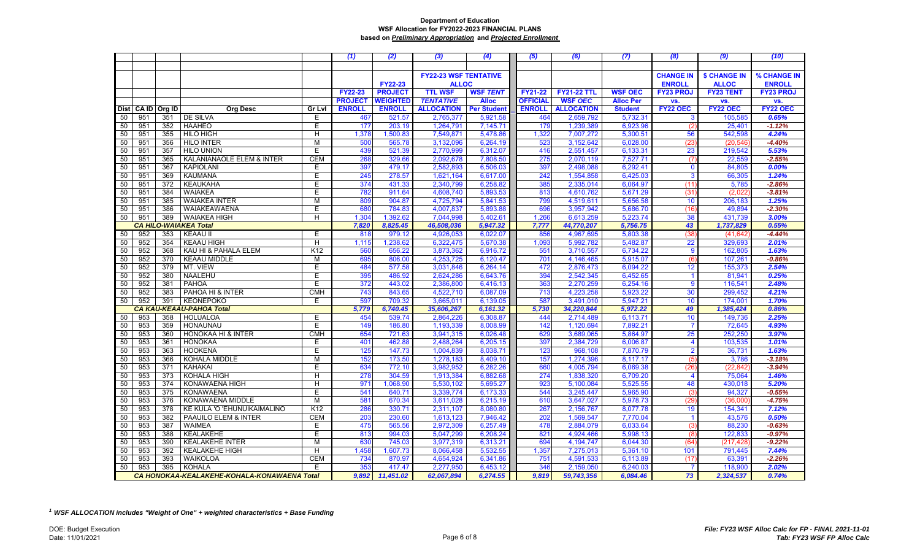|          |            |            |                                             |                | (1)            | (2)              | (3)                          | (4)                  | (5)             | (6)                    | (7)                  | (8)                     | (9)                 | (10)             |
|----------|------------|------------|---------------------------------------------|----------------|----------------|------------------|------------------------------|----------------------|-----------------|------------------------|----------------------|-------------------------|---------------------|------------------|
|          |            |            |                                             |                |                |                  |                              |                      |                 |                        |                      |                         |                     |                  |
|          |            |            |                                             |                |                |                  | <b>FY22-23 WSF TENTATIVE</b> |                      |                 |                        |                      | <b>CHANGE IN</b>        | <b>\$ CHANGE IN</b> | % CHANGE IN      |
|          |            |            |                                             |                |                | <b>FY22-23</b>   | <b>ALLOC</b>                 |                      |                 |                        |                      | <b>ENROLL</b>           | <b>ALLOC</b>        | <b>ENROLL</b>    |
|          |            |            |                                             |                | <b>FY22-23</b> | <b>PROJECT</b>   | <b>TTL WSF</b>               | <b>WSF TENT</b>      | <b>FY21-22</b>  | <b>FY21-22 TTL</b>     | <b>WSF OEC</b>       | <b>FY23 PROJ</b>        | <b>FY23 TENT</b>    | <b>FY23 PROJ</b> |
|          |            |            |                                             |                | <b>PROJECT</b> | WEIGHTED         | <b>TENTATIVE</b>             | <b>Alloc</b>         | <b>OFFICIAL</b> | <b>WSF OEC</b>         | <b>Alloc Per</b>     | VS.                     | VS.                 | VS.              |
|          | Dist CAID  | Org ID     | <b>Org Desc</b>                             | <b>Gr Lvl</b>  | <b>ENROLL</b>  | <b>ENROLL</b>    | <b>ALLOCATION</b>            | <b>Per Student</b>   | <b>ENROLL</b>   | <b>ALLOCATION</b>      | <b>Student</b>       | FY22 OEC                | <b>FY22 OEC</b>     | <b>FY22 OEC</b>  |
| 50       | 951        | 351        | DE SILVA                                    | E.             | 467            | 521.57           | 2,765,377                    | 5,921.58             | 464             | 2,659,792              | 5,732.31             | 3                       | 105,585             | 0.65%            |
| 50       | 951        | 352        | <b>HAAHEO</b>                               | E              | 177            | 203.19           | 1,264,791                    | 7,145.71             | 179             | 1,239,389              | 6,923.96             | (2)                     | 25,401              | $-1.12%$         |
| 50       | 951        | 355        | <b>HILO HIGH</b>                            | H              | 1,378          | 1,500.83         | 7,549,871                    | 5,478.86             | 1,322           | 7,007,272              | 5,300.51             | 56                      | 542,598             | 4.24%            |
| 50       | 951        | 356        | <b>HILO INTER</b>                           | M              | 500            | 565.78           | 3,132,096                    | 6,264.19             | 523             | 3,152,642              | 6,028.00             | (23)                    | (20, 546)           | $-4.40%$         |
| 50       | 951        | 357        | <b>HILO UNION</b>                           | E              | 439            | 521.39           | 2,770,999                    | 6,312.07             | 416             | 2,551,457              | 6,133.31             | 23                      | 219,542             | 5.53%            |
| 50       | 951        | 365        | KALANIANAOLE ELEM & INTER                   | <b>CEM</b>     | 268            | 329.66           | 2,092,678                    | 7,808.50             | 275             | 2,070,119              | 7,527.71             | (7)                     | 22,559              | $-2.55%$         |
| 50       | 951        | 367        | <b>KAPIOLANI</b>                            | E              | 397            | 479.17           | 2,582,893                    | 6,506.03             | 397             | 2,498,088              | 6,292.41             | $\mathbf 0$             | 84,805              | 0.00%            |
| 50       | 951        | 369        | <b>KAUMANA</b>                              | $\overline{E}$ | 245            | 278.57           | 1,621,164                    | 6,617.00             | 242             | 1,554,858              | 6,425.03             | $\overline{3}$          | 66,305              | 1.24%            |
| 50       | 951        | 372        | <b>KEAUKAHA</b>                             | E              | 374            | 431.33           | 2,340,799                    | 6,258.82             | 385             | 2,335,014              | 6,064.97             | (11)                    | 5,785               | $-2.86%$         |
| 50       | 951        | 384        | <b>WAIAKEA</b>                              | E              | 782            | 911.64           | 4,608,740                    | 5,893.53             | 813             | 4,610,762              | 5,671.29             | (31)                    | (2,022)             | $-3.81%$         |
| 50       | 951        | 385        | <b>WAIAKEA INTER</b>                        | M              | 809            | 904.87           | 4,725,794                    | 5,841.53             | 799             | 4,519,611              | 5,656.58             | 10                      | 206,183             | 1.25%            |
| 50       | 951        | 386        | WAIAKEAWAENA                                | Е              | 680            | 784.83           | 4,007,837                    | 5,893.88             | 696             | 3,957,942              | 5,686.70             | (16)                    | 49,894              | $-2.30%$         |
| 50       | 951        | 389        | <b>WAIAKEA HIGH</b>                         | H              | 1,304          | 1,392.62         | 7,044,998                    | 5,402.61             | 1,266           | 6,613,259              | 5,223.74             | 38                      | 431,739             | 3.00%            |
|          | CA HII     |            | <b>O-WAIAKEA Total</b>                      |                | 7,820          | 8,825.45         | 46,508,036                   | 5,947.32             | 7,777           | 44,770,207             | 5,756.75             | 43                      | 1,737,829           | 0.55%            |
| 50       | 952        | 353        | <b>KEAAU II</b>                             | E              | 818            | 979.12           | 4,926,053                    | 6,022.07             | 856             | 4,967,695              | 5,803.38             | (38)                    | (41, 642)           | $-4.44%$         |
| 50       | 952        | 354        | <b>KEAAU HIGH</b>                           | H              | 1,115          | 1,238.62         | 6,322,475                    | 5,670.38             | 1,093           | 5,992,782              | 5,482.87             | 22                      | 329,693             | 2.01%            |
| 50       | 952        | 368        | KAU HI & PAHALA ELEM                        | K12            | 560            | 656.22           | 3,873,362                    | 6,916.72             | 551             | 3,710,557              | 6,734.22             | 9                       | 162,805             | 1.63%            |
| 50       | 952        | 370        | <b>KEAAU MIDDLE</b>                         | M              | 695            | 806.00           | 4,253,725                    | 6,120.47             | 701             | 4,146,465              | 5,915.07             | (6)                     | 107,261             | $-0.86%$         |
| 50       | 952        | 379        | MT. VIEW                                    | E              | 484            | 577.58           | 3,031,846                    | 6,264.14             | 472             | 2,876,473              | 6,094.22             | 12                      | 155,373             | 2.54%            |
| 50       | 952        | 380        | NAALEHU                                     | E              | 395            | 486.92           | 2,624,286                    | 6,643.76             | 394             | 2,542,345              | 6,452.65             | $\overline{1}$          | 81,941              | 0.25%            |
| 50       | 952        | 381        | PAHOA                                       | Ē              | 372            | 443.02           | 2,386,800                    | 6,416.13             | 363             | 2,270,259              | 6,254.16             | 9                       | 116,541             | 2.48%            |
| 50       | 952        | 383        | PAHOA HI & INTER                            | <b>CMH</b>     | 743            | 843.65           | 4,522,710                    | 6,087.09             | 713             | 4,223,258              | 5,923.22             | 30                      | 299,452             | 4.21%            |
| 50       | 952        | 391        | <b>KEONEPOKO</b>                            | Е              | 597            | 709.32           | 3,665,011                    | 6,139.05             | 587             | 3,491,010              | 5,947.21             | 10                      | 174,001             | 1.70%            |
|          |            |            | CA KAU-KEAAU-PAHOA Total                    |                | 5,779          | 6,740.45         | 35,606,267                   | 6,161.32             | 5,730           | 34,220,844             | 5,972.22             | 49                      | 1,385,424           | 0.86%            |
| 50       | 953<br>953 | 358<br>359 | <b>HOLUALOA</b><br><b>HONAUNAU</b>          | Е<br>E         | 454<br>149     | 539.74           | 2,864,226                    | 6,308.87             | 444<br>142      | 2,714,489              | 6,113.71<br>7,892.21 | 10<br>$\overline{7}$    | 149,736             | 2.25%<br>4.93%   |
| 50       | 953        | 360        | HONOKAA HI & INTER                          | <b>CMH</b>     | 654            | 186.80<br>721.63 | 1,193,339<br>3,941,315       | 8,008.99<br>6,026.48 | 629             | 1,120,694<br>3,689,065 | 5,864.97             | 25                      | 72,645<br>252,250   | 3.97%            |
| 50<br>50 | 953        | 361        | <b>HONOKAA</b>                              | E              | 401            | 462.88           | 2,488,264                    | 6,205.15             | 397             | 2,384,729              | 6,006.87             | $\overline{\mathbf{4}}$ | 103,535             | 1.01%            |
| 50       | 953        | 363        | <b>HOOKENA</b>                              | Ε              | 125            | 147.73           | 1,004,839                    | 8,038.71             | 123             | 968,108                | 7,870.79             | $\overline{2}$          | 36,731              | 1.63%            |
| 50       | 953        | 366        | KOHALA MIDDLE                               | M              | 152            | 173.50           | 1,278,183                    | 8,409.10             | 157             | 1,274,396              | 8,117.17             | (5)                     | 3,786               | $-3.18%$         |
| 50       | 953        | 371        | <b>KAHAKAI</b>                              | E              | 634            | 772.10           | 3,982,952                    | 6,282.26             | 660             | 4,005,794              | 6,069.38             | (26)                    | (22, 842)           | $-3.94%$         |
| 50       | 953        | 373        | <b>KOHALA HIGH</b>                          | H              | 278            | 304.59           | 1,913,384                    | 6,882.68             | 274             | 1,838,320              | 6,709.20             | $\overline{4}$          | 75,064              | 1.46%            |
| 50       | 953        | 374        | KONAWAENA HIGH                              | H              | 971            | 1,068.90         | 5,530,102                    | 5,695.27             | 923             | 5,100,084              | 5,525.55             | 48                      | 430,018             | 5.20%            |
| 50       | 953        | 375        | <b>KONAWAENA</b>                            | E              | 541            | 640.71           | 3,339,774                    | 6,173.33             | 544             | 3,245,447              | 5,965.90             | (3)                     | 94,327              | $-0.55%$         |
| 50       | 953        | 376        | <b>KONAWAENA MIDDLE</b>                     | M              | 581            | 670.34           | 3,611,028                    | 6,215.19             | 610             | 3,647,027              | 5,978.73             | (29                     | (36,000)            | $-4.75%$         |
| 50       | 953        | 378        | KE KULA 'O 'EHUNUIKAIMALINO                 | K12            | 286            | 330.71           | 2,311,107                    | 8,080.80             | 267             | 2,156,767              | 8,077.78             | 19                      | 154,341             | 7.12%            |
| 50       | 953        | 382        | PAAUILO ELEM & INTER                        | <b>CEM</b>     | 203            | 230.60           | 1,613,123                    | 7,946.42             | 202             | 1,569,547              | 7,770.04             |                         | 43,576              | 0.50%            |
| 50       | 953        | 387        | <b>WAIMEA</b>                               | E.             | 475            | 565.56           | 2,972,309                    | 6,257.49             | 478             | 2,884,079              | 6,033.64             | (3)                     | 88,230              | $-0.63%$         |
| 50       | 953        | 388        | KEALAKEHE                                   | E.             | 813            | 994.03           | 5,047,299                    | 6,208.24             | 821             | 4,924,466              | 5,998.13             | (8)                     | 122,833             | $-0.97%$         |
| 50       | 953        | 390        | <b>KEALAKEHE INTER</b>                      | M              | 630            | 745.03           | 3,977,319                    | 6,313.21             | 694             | 4,194,747              | 6,044.30             | (64)                    | (217, 428)          | $-9.22%$         |
| 50       | 953        | 392        | <b>KEALAKEHE HIGH</b>                       | H              | 1,458          | 1,607.73         | 8,066,458                    | 5,532.55             | 1,357           | 7,275,013              | 5,361.10             | 101                     | 791,445             | 7.44%            |
| 50       | 953        | 393        | <b>WAIKOLOA</b>                             | <b>CEM</b>     | 734            | 870.97           | 4,654,924                    | 6,341.86             | 751             | 4,591,533              | 6,113.89             | (17)                    | 63,391              | $-2.26%$         |
| 50       | 953        | 395        | <b>KOHALA</b>                               | Е              | 353            | 417.47           | 2,277,950                    | 6.453.12             | 346             | 2,159,050              | 6,240.03             | $\overline{7}$          | 118,900             | 2.02%            |
|          |            |            | CA HONOKAA-KEALAKEHE-KOHALA-KONAWAENA Total |                | 9,892          | 11,451.02        | 62,067,894                   | 6,274.55             | 9,819           | 59,743,356             | 6,084.46             | 73                      | 2,324,537           | 0.74%            |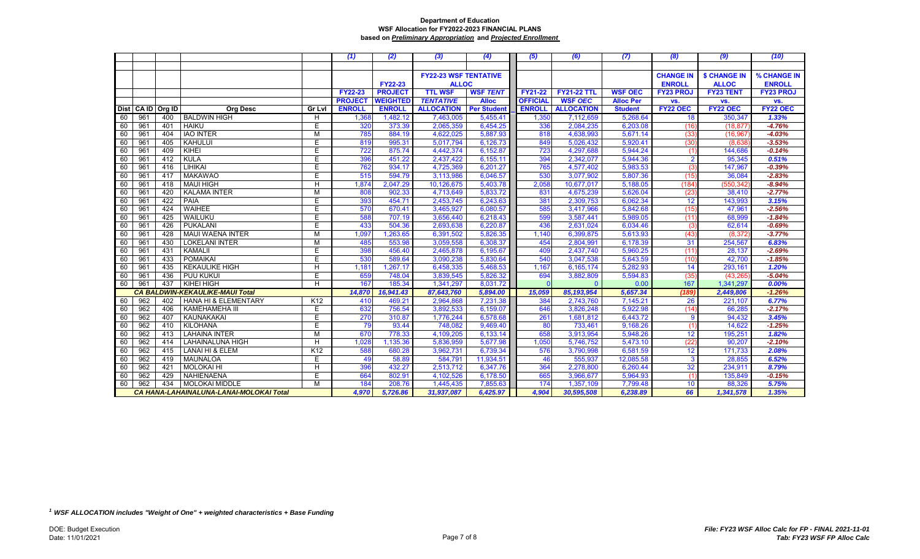|    |            |        |                                                |                 | (1)            | (2)             | (3)                          | (4)                | (5)             | (6)                | (7)              | (8)              | (9)                 | (10)             |
|----|------------|--------|------------------------------------------------|-----------------|----------------|-----------------|------------------------------|--------------------|-----------------|--------------------|------------------|------------------|---------------------|------------------|
|    |            |        |                                                |                 |                |                 |                              |                    |                 |                    |                  |                  |                     |                  |
|    |            |        |                                                |                 |                |                 | <b>FY22-23 WSF TENTATIVE</b> |                    |                 |                    |                  | <b>CHANGE IN</b> | <b>\$ CHANGE IN</b> | % CHANGE IN      |
|    |            |        |                                                |                 |                | <b>FY22-23</b>  | <b>ALLOC</b>                 |                    |                 |                    |                  | <b>ENROLL</b>    | <b>ALLOC</b>        | <b>ENROLL</b>    |
|    |            |        |                                                |                 | <b>FY22-23</b> | <b>PROJECT</b>  | <b>TTL WSF</b>               | <b>WSF TENT</b>    | <b>FY21-22</b>  | <b>FY21-22 TTL</b> | <b>WSF OEC</b>   | <b>FY23 PROJ</b> | <b>FY23 TENT</b>    | <b>FY23 PROJ</b> |
|    |            |        |                                                |                 | <b>PROJECT</b> | <b>WEIGHTED</b> | <b>TENTATIVE</b>             | <b>Alloc</b>       | <b>OFFICIAL</b> | <b>WSF OEC</b>     | <b>Alloc Per</b> | VS.              | VS.                 | VS.              |
|    | Dist CA ID | Org ID | <b>Org Desc</b>                                | <b>Gr Lvl</b>   | <b>ENROLL</b>  | <b>ENROLL</b>   | <b>ALLOCATION</b>            | <b>Per Student</b> | <b>ENROLL</b>   | <b>ALLOCATION</b>  | <b>Student</b>   | <b>FY22 OEC</b>  | FY22 OEC            | FY22 OEC         |
| 60 | 961        | 400    | <b>BALDWIN HIGH</b>                            | H               | 1,368          | 1,482.12        | 7,463,005                    | 5,455.41           | 1,350           | 7,112,659          | 5,268.64         | 18               | 350,347             | 1.33%            |
| 60 | 961        | 401    | <b>HAIKU</b>                                   | E.              | 320            | 373.39          | 2,065,359                    | 6,454.25           | 336             | 2,084,235          | 6,203.08         | (16)             | (18, 877)           | $-4.76%$         |
| 60 | 961        | 404    | <b>IAO INTER</b>                               | M               | 785            | 884.19          | 4,622,025                    | 5,887.93           | 818             | 4,638,993          | 5,671.14         | (33)             | (16, 967)           | $-4.03%$         |
| 60 | 961        | 405    | KAHULUI                                        | E.              | 819            | 995.31          | 5,017,794                    | 6,126.73           | 849             | 5,026,432          | 5,920.41         | (30)             | (8,638)             | $-3.53%$         |
| 60 | 961        | 409    | KIHEI                                          | E.              | 722            | 875.74          | 4,442,374                    | 6,152.87           | 723             | 4,297,688          | 5,944.24         | (1)              | 144,686             | $-0.14%$         |
| 60 | 961        | 412    | <b>KULA</b>                                    | E.              | 396            | 451.22          | 2,437,422                    | 6,155.11           | 394             | 2,342,077          | 5,944.36         | $\overline{2}$   | 95,345              | 0.51%            |
| 60 | 961        | 416    | <b>LIHIKAI</b>                                 | E               | 762            | 934.17          | 4,725,369                    | 6,201.27           | 765             | 4,577,402          | 5,983.53         | (3)              | 147,967             | $-0.39%$         |
| 60 | 961        | 417    | <b>MAKAWAO</b>                                 | E.              | 515            | 594.79          | 3,113,986                    | 6,046.57           | 530             | 3,077,902          | 5,807.36         | (15)             | 36,084              | $-2.83%$         |
| 60 | 961        | 418    | <b>MAUI HIGH</b>                               | H               | 1,874          | 2,047.29        | 10,126,675                   | 5,403.78           | 2,058           | 10,677,017         | 5,188.05         | (184)            | (550, 342)          | $-8.94%$         |
| 60 | 961        | 420    | <b>KALAMA INTER</b>                            | M               | 808            | 902.33          | 4,713,649                    | 5,833.72           | 831             | 4,675,239          | 5,626.04         | (23)             | 38,410              | $-2.77%$         |
| 60 | 961        | 422    | PAIA                                           | E.              | 393            | 454.71          | 2,453,745                    | 6,243.63           | 381             | 2,309,753          | 6,062.34         | 12               | 143,993             | 3.15%            |
| 60 | 961        | 424    | <b>WAIHEE</b>                                  | E               | 570            | 670.41          | 3,465,927                    | 6,080.57           | 585             | 3,417,966          | 5,842.68         | (15)             | 47,961              | $-2.56%$         |
| 60 | 961        | 425    | WAILUKU                                        | E               | 588            | 707.19          | 3,656,440                    | 6,218.43           | 599             | 3,587,441          | 5,989.05         | (11)             | 68,999              | $-1.84%$         |
| 60 | 961        | 426    | <b>PUKALANI</b>                                | E.              | 433            | 504.36          | 2,693,638                    | 6,220.87           | 436             | 2,631,024          | 6,034.46         | (3)              | 62,614              | $-0.69%$         |
| 60 | 961        | 428    | <b>MAUI WAENA INTER</b>                        | М               | 1,097          | 1,263.65        | 6,391,502                    | 5,826.35           | 1,140           | 6,399,875          | 5,613.93         | (43)             | (8, 372)            | $-3.77%$         |
| 60 | 961        | 430    | <b>LOKELANI INTER</b>                          | м               | 485            | 553.98          | 3,059,558                    | 6,308.37           | 454             | 2,804,991          | 6,178.39         | 31               | 254,567             | 6.83%            |
| 60 | 961        | 431    | <b>KAMALII</b>                                 | E.              | 398            | 456.40          | 2,465,878                    | 6,195.67           | 409             | 2,437,740          | 5,960.25         | (11)             | 28,137              | $-2.69%$         |
| 60 | 961        | 433    | <b>POMAIKAI</b>                                | E.              | 530            | 589.64          | 3,090,238                    | 5,830.64           | 540             | 3,047,538          | 5,643.59         | (10)             | 42,700              | $-1.85%$         |
| 60 | 961        | 435    | <b>KEKAULIKE HIGH</b>                          | H               | 1,181          | 1,267.17        | 6,458,335                    | 5,468.53           | 1,167           | 6,165,174          | 5,282.93         | 14               | 293,161             | 1.20%            |
| 60 | 961        | 436    | PUU KUKUI                                      | Ë               | 659            | 748.04          | 3,839,545                    | 5,826.32           | 694             | 3,882,809          | 5,594.83         | (35)             | (43, 265)           | $-5.04%$         |
| 60 | 961        | 437    | <b>KIHEI HIGH</b>                              | H.              | 167            | 185.34          | 1,341,297                    | 8,031.72           |                 | $\Omega$           | 0.00             | 167              | 1,341,297           | 0.00%            |
|    |            |        | <b>CA BALDWIN-KEKAULIKE-MAUI Total</b>         |                 | 14,870         | 16,941.43       | 87,643,760                   | 5,894.00           | 15,059          | 85,193,954         | 5,657.34         | (189)            | 2,449,806           | $-1.26%$         |
| 60 | 962        | 402    | <b>HANA HI &amp; ELEMENTARY</b>                | K12             | 410            | 469.21          | 2,964,868                    | 7,231.38           | 384             | 2,743,760          | 7,145.21         | 26               | 221,107             | 6.77%            |
| 60 | 962        | 406    | <b>KAMEHAMEHA III</b>                          | E               | 632            | 756.54          | 3,892,533                    | 6,159.07           | 646             | 3,826,248          | 5,922.98         | (14)             | 66,285              | $-2.17%$         |
| 60 | 962        | 407    | KAUNAKAKAI                                     | E               | 270            | 310.87          | 1,776,244                    | 6,578.68           | 261             | 1,681,812          | 6,443.72         | 9                | 94,432              | 3.45%            |
| 60 | 962        | 410    | KILOHANA                                       | E.              | 79             | 93.44           | 748,082                      | 9,469.40           | 80              | 733,461            | 9,168.26         | (1)              | 14,622              | $-1.25%$         |
| 60 | 962        | 413    | <b>LAHAINA INTER</b>                           | М               | 670            | 778.33          | 4,109,205                    | 6,133.14           | 658             | 3,913,954          | 5,948.26         | 12               | 195,251             | 1.82%            |
| 60 | 962        | 414    | <b>LAHAINALUNA HIGH</b>                        | H               | 1,028          | 1,135.36        | 5,836,959                    | 5,677.98           | 1,050           | 5,746,752          | 5,473.10         | (22)             | 90,207              | $-2.10%$         |
| 60 | 962        | 415    | LANAI HI & ELEM                                | K <sub>12</sub> | 588            | 680.28          | 3,962,731                    | 6,739.34           | 576             | 3,790,998          | 6,581.59         | 12               | 171,733             | 2.08%            |
| 60 | 962        | 419    | <b>MAUNALOA</b>                                | E.              | 49             | 58.89           | 584,791                      | 11,934.51          | 46              | 555,937            | 12,085.58        | 3                | 28,855              | 6.52%            |
| 60 | 962        | 421    | <b>MOLOKAI HI</b>                              | H.              | 396            | 432.27          | 2,513,712                    | 6,347.76           | 364             | 2,278,800          | 6,260.44         | 32               | 234,911             | 8.79%            |
| 60 | 962        | 429    | NAHIENAENA                                     | E               | 664            | 802.91          | 4,102,526                    | 6,178.50           | 665             | 3,966,677          | 5,964.93         | (1)              | 135,849             | $-0.15%$         |
| 60 | 962        | 434    | <b>MOLOKAI MIDDLE</b>                          | м               | 184            | 208.76          | 1,445,435                    | 7,855.63           | 174             | 1,357,109          | 7,799.48         | 10               | 88,326              | 5.75%            |
|    |            |        | <b>CA HANA-LAHAINALUNA-LANAI-MOLOKAI Total</b> |                 | 4.970          | 5,726.86        | 31,937,087                   | 6,425.97           | 4,904           | 30,595,508         | 6,238.89         | 66               | 1,341,578           | 1.35%            |